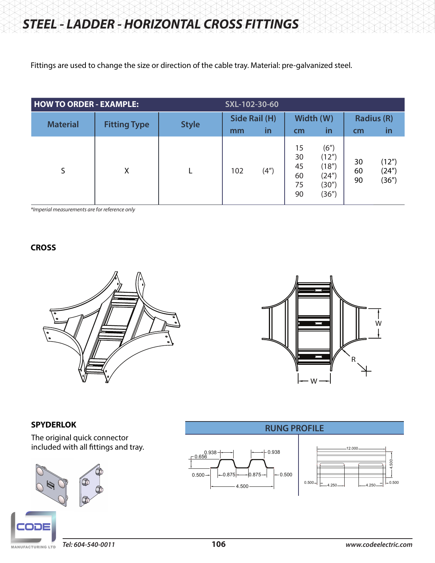Fittings are used to change the size or direction of the cable tray. Material: pre-galvanized steel.

| <b>HOW TO ORDER - EXAMPLE:</b> |                     |              | SXL-102-30-60             |                    |                                  |                                                   |                               |                         |  |
|--------------------------------|---------------------|--------------|---------------------------|--------------------|----------------------------------|---------------------------------------------------|-------------------------------|-------------------------|--|
| <b>Material</b>                | <b>Fitting Type</b> | <b>Style</b> | Side Rail (H)<br>in<br>mm |                    | cm                               | Width (W)<br><u>in</u>                            | <b>Radius (R)</b><br>in<br>cm |                         |  |
| S                              | X                   |              | 102                       | (4 <sup>''</sup> ) | 15<br>30<br>45<br>60<br>75<br>90 | (6")<br>(12")<br>(18")<br>(24")<br>(30")<br>(36") | 30<br>60<br>90                | (12")<br>(24")<br>(36") |  |

*\*Imperial measurements are for reference only*

# **CROSS**





## **SPYDERLOK**

The original quick connector included with all fittings and tray.



**RUNG PROFILE**



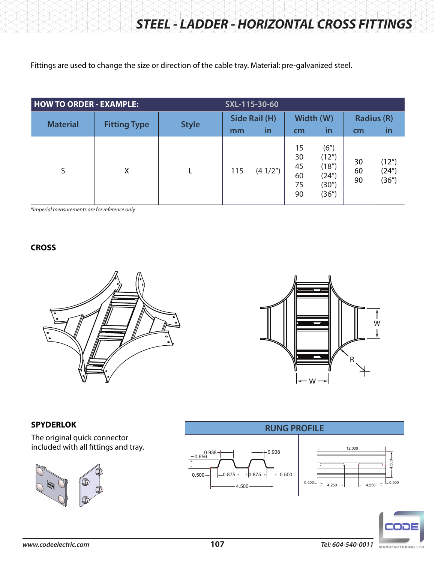Fittings are used to change the size or direction of the cable tray. Material: pre-galvanized steel.

| <b>HOW TO ORDER - EXAMPLE:</b> |                     |              | SXL-115-30-60 |                     |                                  |                                                   |                |                         |  |
|--------------------------------|---------------------|--------------|---------------|---------------------|----------------------------------|---------------------------------------------------|----------------|-------------------------|--|
| <b>Material</b>                | <b>Fitting Type</b> | <b>Style</b> | mm            | Side Rail (H)<br>in | cm                               | Width (W)<br><u>in</u>                            | cm             | <b>Radius (R)</b><br>in |  |
| S                              | X                   |              | 115           | (41/2")             | 15<br>30<br>45<br>60<br>75<br>90 | (6")<br>(12")<br>(18")<br>(24")<br>(30")<br>(36") | 30<br>60<br>90 | (12")<br>(24")<br>(36") |  |

*\*Imperial measurements are for reference only*

## **CROSS**





**RUNG PROFILE**

## **SPYDERLOK**

The original quick connector included with all fittings and tray.